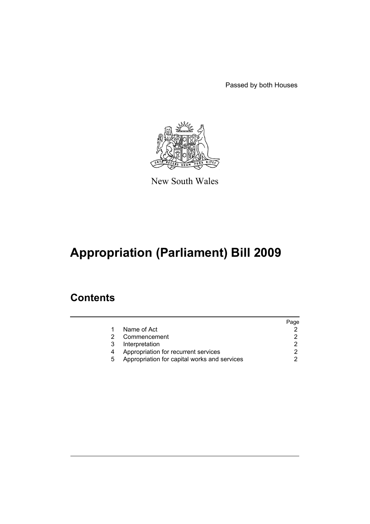Passed by both Houses



New South Wales

# **Appropriation (Parliament) Bill 2009**

### **Contents**

|   |                                              | Page |
|---|----------------------------------------------|------|
|   | Name of Act                                  |      |
|   | Commencement                                 |      |
| 3 | Interpretation                               |      |
|   | Appropriation for recurrent services         |      |
| 5 | Appropriation for capital works and services |      |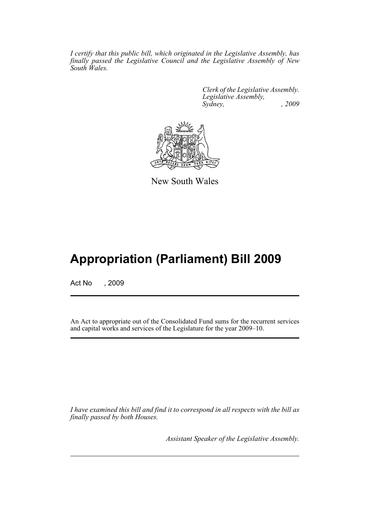*I certify that this public bill, which originated in the Legislative Assembly, has finally passed the Legislative Council and the Legislative Assembly of New South Wales.*

> *Clerk of the Legislative Assembly. Legislative Assembly, Sydney, , 2009*



New South Wales

## **Appropriation (Parliament) Bill 2009**

Act No , 2009

An Act to appropriate out of the Consolidated Fund sums for the recurrent services and capital works and services of the Legislature for the year 2009–10.

*I have examined this bill and find it to correspond in all respects with the bill as finally passed by both Houses.*

*Assistant Speaker of the Legislative Assembly.*